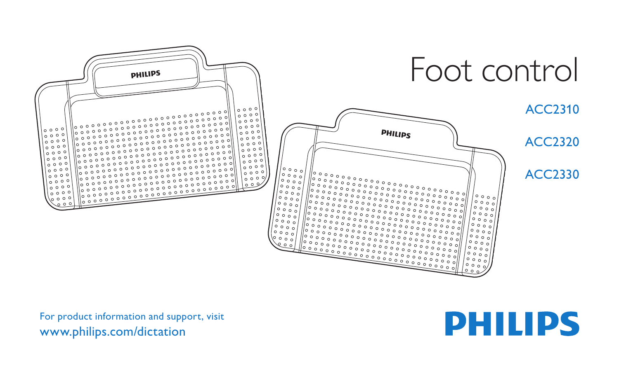

For product information and support, visit www.philips.com/dictation

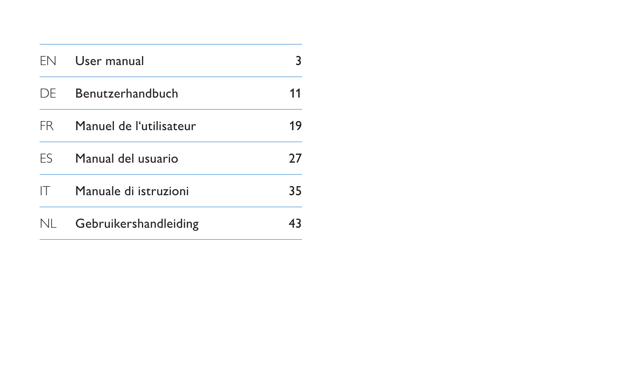| FN  | User manual             |    |
|-----|-------------------------|----|
| DF. | Benutzerhandbuch        | 11 |
| FR. | Manuel de l'utilisateur | 19 |
| FS  | Manual del usuario      | 27 |
| IΤ  | Manuale di istruzioni   | 35 |
| nl  | Gebruikershandleiding   |    |

the control of the control of the control of the control of the control of the control of the control of the control of the control of the control of the control of the control of the control of the control of the control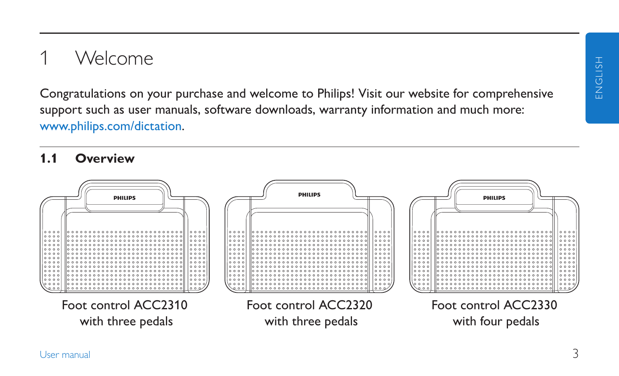# 1 Welcome

Congratulations on your purchase and welcome to Philips! Visit our website for comprehensive support such as user manuals, software downloads, warranty information and much more: www.philips.com/dictation.

#### **1.1 Overview**

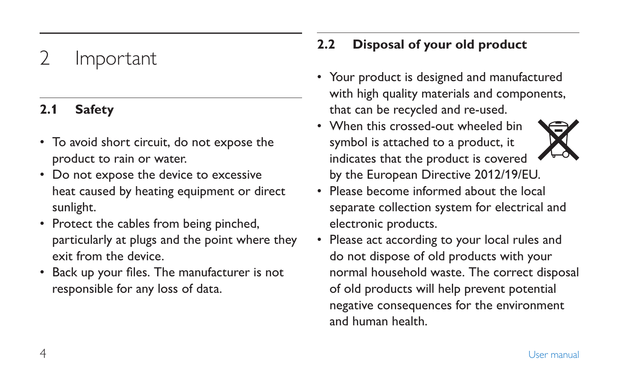# **Important**

### **2.1 Safety**

- To avoid short circuit, do not expose the product to rain or water.
- Do not expose the device to excessive heat caused by heating equipment or direct sunlight.
- Protect the cables from being pinched, particularly at plugs and the point where they exit from the device.
- Back up your files. The manufacturer is not responsible for any loss of data.

### **2.2 Disposal of your old product**

- Your product is designed and manufactured with high quality materials and components, that can be recycled and re-used.
- When this crossed-out wheeled bin symbol is attached to a product, it indicates that the product is covered by the European Directive 2012/19/EU.
- Please become informed about the local separate collection system for electrical and electronic products.
- Please act according to your local rules and do not dispose of old products with your normal household waste. The correct disposal of old products will help prevent potential negative consequences for the environment and human health.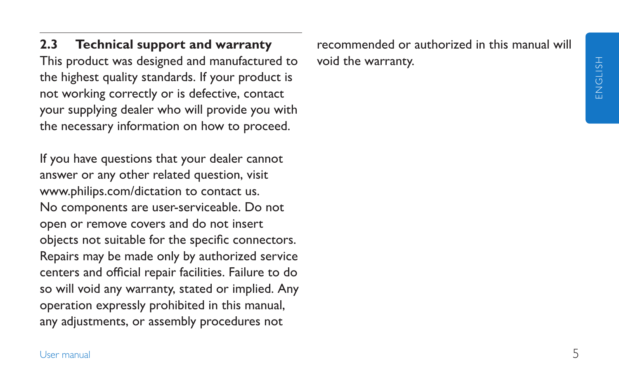**2.3 Technical support and warranty** This product was designed and manufactured to the highest quality standards. If your product is not working correctly or is defective, contact your supplying dealer who will provide you with the necessary information on how to proceed.

If you have questions that your dealer cannot answer or any other related question, visit www.philips.com/dictation to contact us. No components are user-serviceable. Do not open or remove covers and do not insert objects not suitable for the specific connectors. Repairs may be made only by authorized service centers and official repair facilities. Failure to do so will void any warranty, stated or implied. Any operation expressly prohibited in this manual, any adjustments, or assembly procedures not

recommended or authorized in this manual will void the warranty.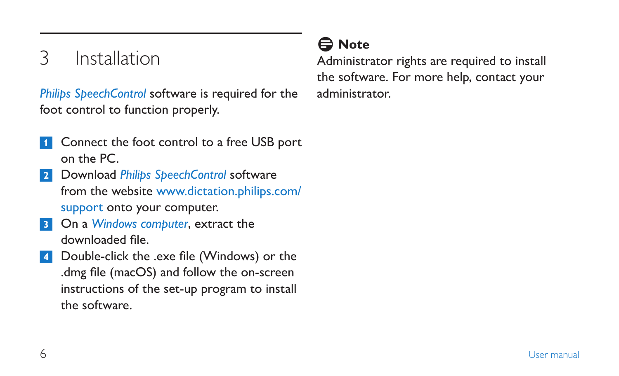# 3 Installation

*Philips SpeechControl* software is required for the foot control to function properly.

- Connect the foot control to a free USB port on the PC.
- 2 Download *Philips SpeechControl* software from the website www.dictation.philips.com/ support onto your computer.
- 3 On a *Windows computer*, extract the downloaded file.
- 4 Double-click the .exe file (Windows) or the .dmg file (macOS) and follow the on-screen instructions of the set-up program to install the software.

## D **Note**

Administrator rights are required to install the software. For more help, contact your administrator.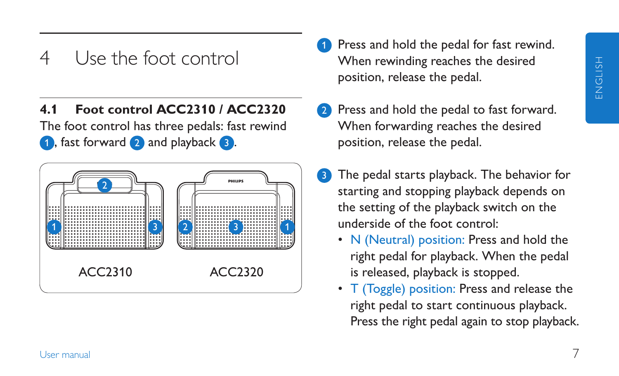## 4 Use the foot control

### **4.1 Foot control ACC2310 / ACC2320**

The foot control has three pedals: fast rewind 1 , fast forward 2 and playback 3.



- Press and hold the pedal for fast rewind. When rewinding reaches the desired position, release the pedal.
- **2** Press and hold the pedal to fast forward. When forwarding reaches the desired position, release the pedal.
- <sup>3</sup> The pedal starts playback. The behavior for starting and stopping playback depends on the setting of the playback switch on the underside of the foot control:
	- N (Neutral) position: Press and hold the right pedal for playback. When the pedal is released, playback is stopped.
	- T (Toggle) position: Press and release the right pedal to start continuous playback. Press the right pedal again to stop playback.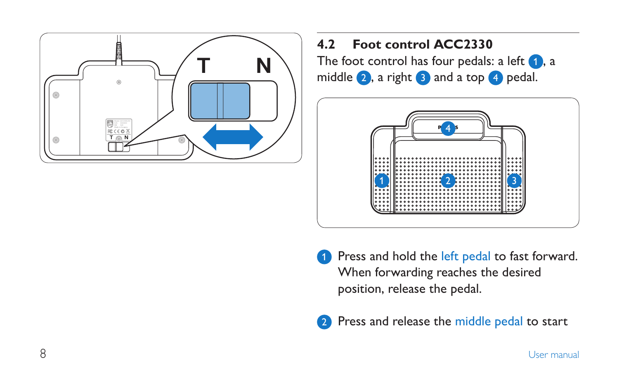

### **4.2 Foot control ACC2330** The foot control has four pedals: a left  $\Box$ , a

middle  $2$ , a right  $3$  and a top  $4$  pedal.



- **1** Press and hold the left pedal to fast forward. When forwarding reaches the desired position, release the pedal.
- 2 Press and release the middle pedal to start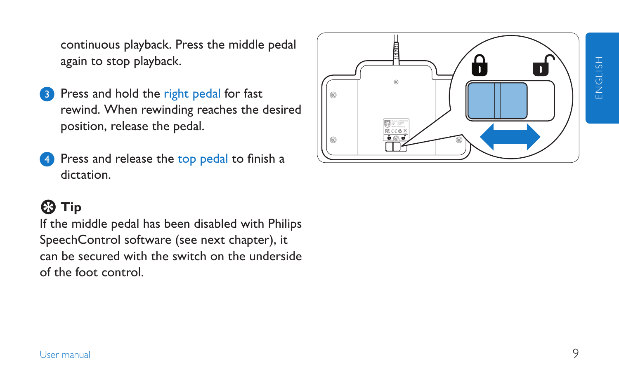continuous playback. Press the middle pedal again to stop playback.

- **3** Press and hold the right pedal for fast rewind. When rewinding reaches the desired position, release the pedal.
- Press and release the top pedal to finish a dictation.

### **e** Tip

If the middle pedal has been disabled with Philips SpeechControl software (see next chapter), it can be secured with the switch on the underside of the foot control.

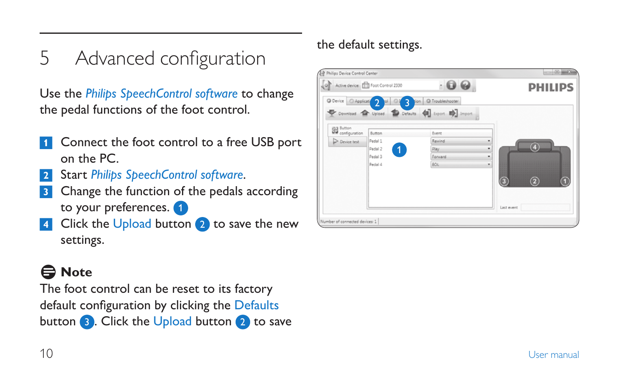5 Advanced configuration

Use the *Philips SpeechControl software* to change the pedal functions of the foot control.

- **1** Connect the foot control to a free USB port on the PC.
- 2 Start *Philips SpeechControl software*.
- **3** Change the function of the pedals according to your preferences.
- Click the Upload button  $(2)$  to save the new settings.

## D **Note**

The foot control can be reset to its factory default configuration by clicking the Defaults button 3. Click the Upload button 2 to save

### the default settings.

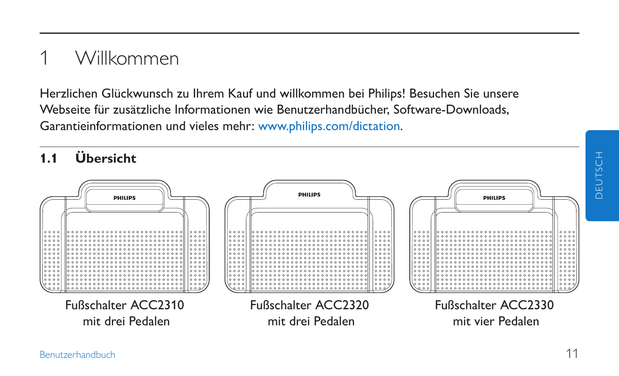# 1 Willkommen

Herzlichen Glückwunsch zu Ihrem Kauf und willkommen bei Philips! Besuchen Sie unsere Webseite für zusätzliche Informationen wie Benutzerhandbücher, Software-Downloads, Garantieinformationen und vieles mehr: www.philips.com/dictation.

**1.1 Übersicht**

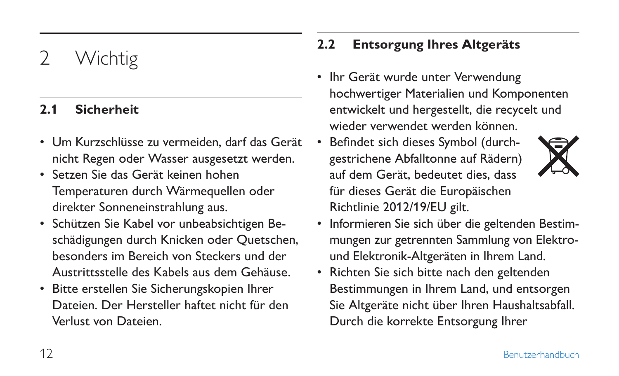# Wichtig

### **2.1 Sicherheit**

- Um Kurzschlüsse zu vermeiden, darf das Gerät nicht Regen oder Wasser ausgesetzt werden.
- Setzen Sie das Gerät keinen hohen Temperaturen durch Wärmequellen oder direkter Sonneneinstrahlung aus.
- Schützen Sie Kabel vor unbeabsichtigen Beschädigungen durch Knicken oder Quetschen, besonders im Bereich von Steckers und der Austrittsstelle des Kabels aus dem Gehäuse.
- Bitte erstellen Sie Sicherungskopien Ihrer Dateien. Der Hersteller haftet nicht für den Verlust von Dateien.

### **2.2 Entsorgung Ihres Altgeräts**

- Ihr Gerät wurde unter Verwendung hochwertiger Materialien und Komponenten entwickelt und hergestellt, die recycelt und wieder verwendet werden können.
- Befindet sich dieses Symbol (durchgestrichene Abfalltonne auf Rädern) auf dem Gerät, bedeutet dies, dass für dieses Gerät die Europäischen Richtlinie 2012/19/EU gilt.



- Informieren Sie sich über die geltenden Bestimmungen zur getrennten Sammlung von Elektround Elektronik-Altgeräten in Ihrem Land.
- Richten Sie sich bitte nach den geltenden Bestimmungen in Ihrem Land, und entsorgen Sie Altgeräte nicht über Ihren Haushaltsabfall. Durch die korrekte Entsorgung Ihrer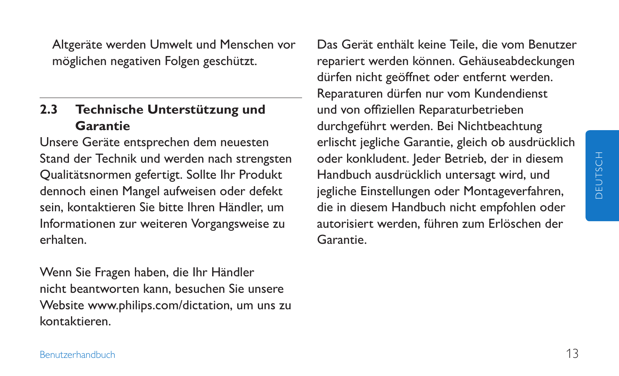Altgeräte werden Umwelt und Menschen vor möglichen negativen Folgen geschützt.

#### **2.3 Technische Unterstützung und Garantie**

Unsere Geräte entsprechen dem neuesten Stand der Technik und werden nach strengsten Qualitätsnormen gefertigt. Sollte Ihr Produkt dennoch einen Mangel aufweisen oder defekt sein, kontaktieren Sie bitte Ihren Händler, um Informationen zur weiteren Vorgangsweise zu erhalten.

Wenn Sie Fragen haben, die Ihr Händler nicht beantworten kann, besuchen Sie unsere Website www.philips.com/dictation, um uns zu kontaktieren.

Das Gerät enthält keine Teile, die vom Benutzer repariert werden können. Gehäuseabdeckungen dürfen nicht geöffnet oder entfernt werden. Reparaturen dürfen nur vom Kundendienst und von offiziellen Reparaturbetrieben durchgeführt werden. Bei Nichtbeachtung erlischt jegliche Garantie, gleich ob ausdrücklich oder konkludent. Jeder Betrieb, der in diesem Handbuch ausdrücklich untersagt wird, und jegliche Einstellungen oder Montageverfahren, die in diesem Handbuch nicht empfohlen oder autorisiert werden, führen zum Erlöschen der Garantie.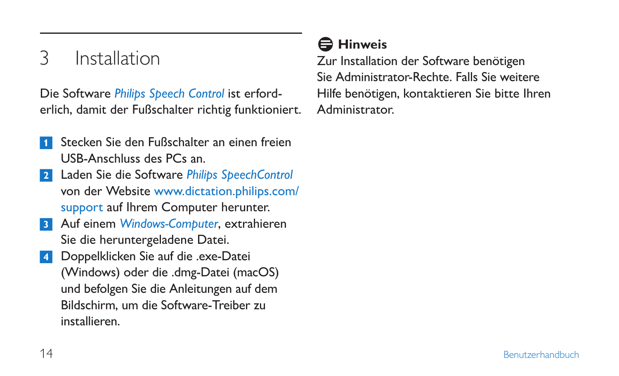# 3 Installation

Die Software *Philips Speech Control* ist erforderlich, damit der Fußschalter richtig funktioniert.

- 1 Stecken Sie den Fußschalter an einen freien USB-Anschluss des PCs an.
- 2 Laden Sie die Software *Philips SpeechControl* von der Website www.dictation.philips.com/ support auf Ihrem Computer herunter.
- 3 Auf einem *Windows-Computer*, extrahieren Sie die heruntergeladene Datei.
- 4 Doppelklicken Sie auf die .exe-Datei (Windows) oder die .dmg-Datei (macOS) und befolgen Sie die Anleitungen auf dem Bildschirm, um die Software-Treiber zu installieren.

## D **Hinweis**

Zur Installation der Software benötigen Sie Administrator-Rechte. Falls Sie weitere Hilfe benötigen, kontaktieren Sie bitte Ihren Administrator.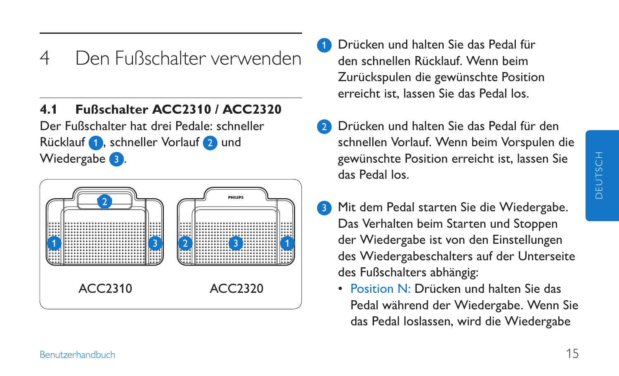## 4 Den Fußschalter verwenden

#### **4.1 Fußschalter ACC2310 / ACC2320**

Der Fußschalter hat drei Pedale: schneller Rücklauf **1**, schneller Vorlauf 2 und Wiedergabe **3**.



- 1 Drücken und halten Sie das Pedal für den schnellen Rücklauf. Wenn beim Zurückspulen die gewünschte Position erreicht ist, lassen Sie das Pedal los.
- 2 Drücken und halten Sie das Pedal für den schnellen Vorlauf. Wenn beim Vorspulen die gewünschte Position erreicht ist, lassen Sie das Pedal los.
- Mit dem Pedal starten Sie die Wiedergabe. Das Verhalten beim Starten und Stoppen der Wiedergabe ist von den Einstellungen des Wiedergabeschalters auf der Unterseite des Fußschalters abhängig:
	- Position N: Drücken und halten Sie das Pedal während der Wiedergabe. Wenn Sie das Pedal loslassen, wird die Wiedergabe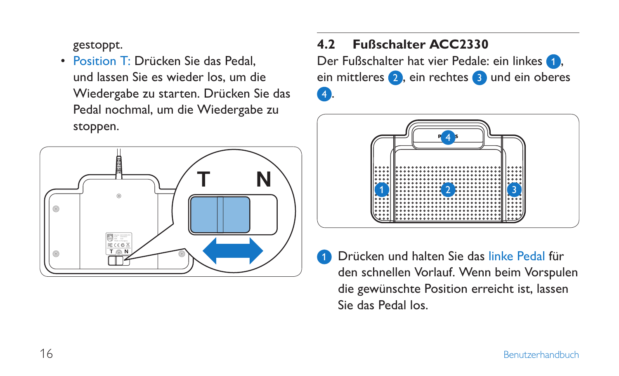gestoppt.

• Position T: Drücken Sie das Pedal und lassen Sie es wieder los, um die Wiedergabe zu starten. Drücken Sie das Pedal nochmal, um die Wiedergabe zu stoppen.



### **4.2 Fußschalter ACC2330**

Der Fußschalter hat vier Pedale: ein linkes ein mittleres 2, ein rechtes 3 und ein oberes 4.



1 Drücken und halten Sie das linke Pedal für den schnellen Vorlauf. Wenn beim Vorspulen die gewünschte Position erreicht ist, lassen Sie das Pedal los.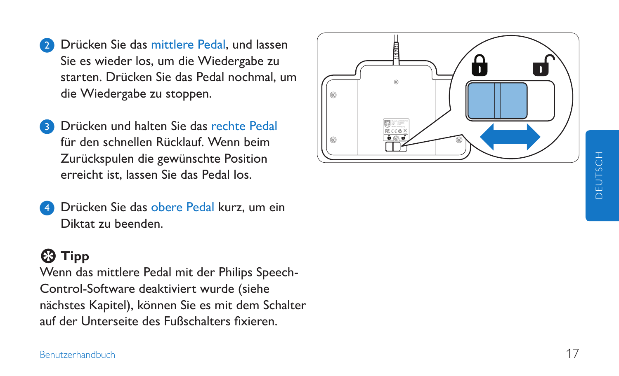- **2** Drücken Sie das mittlere Pedal, und lassen Sie es wieder los, um die Wiedergabe zu starten. Drücken Sie das Pedal nochmal, um die Wiedergabe zu stoppen.
- Drücken und halten Sie das rechte Pedal für den schnellen Rücklauf. Wenn beim Zurückspulen die gewünschte Position erreicht ist, lassen Sie das Pedal los.
- Drücken Sie das obere Pedal kurz, um ein Diktat zu beenden.

### **E** Tipp

Wenn das mittlere Pedal mit der Philips Speech - Control-Software deaktiviert wurde (siehe nächstes Kapitel), können Sie es mit dem Schalter auf der Unterseite des Fußschalters fixieren.

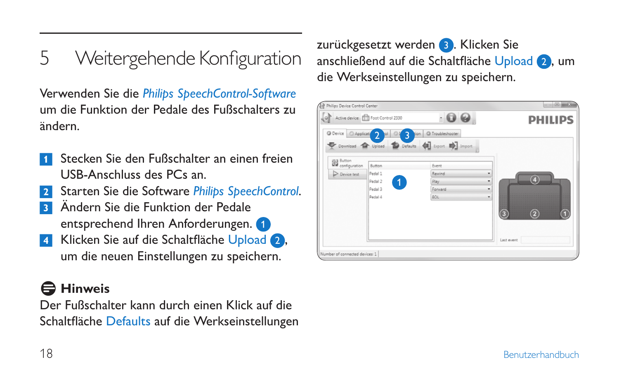5 Weitergehende Konfiguration

Verwenden Sie die *Philips SpeechControl-Software* um die Funktion der Pedale des Fußschalters zu ändern.

- Stecken Sie den Fußschalter an einen freien USB-Anschluss des PCs an.
- 2 Starten Sie die Software *Philips SpeechControl*.
- **3 Ändern Sie die Funktion der Pedale** entsprechend Ihren Anforderungen.
- Klicken Sie auf die Schaltfläche Upload 2, um die neuen Einstellungen zu speichern.

### **Hinweis**

Der Fußschalter kann durch einen Klick auf die Schaltfläche Defaults auf die Werkseinstellungen zurückgesetzt werden 3. Klicken Sie anschließend auf die Schaltfläche Upload 2, um die Werkseinstellungen zu speichern.

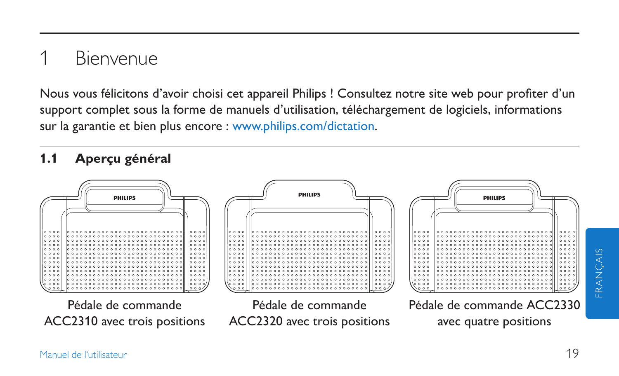# **Bienvenue**

Nous vous félicitons d'avoir choisi cet appareil Philips ! Consultez notre site web pour profiter d'un support complet sous la forme de manuels d'utilisation, téléchargement de logiciels, informations sur la garantie et bien plus encore : www.philips.com/dictation.

### **1.1 Aperçu général**



FRANÇAIS

FRANCA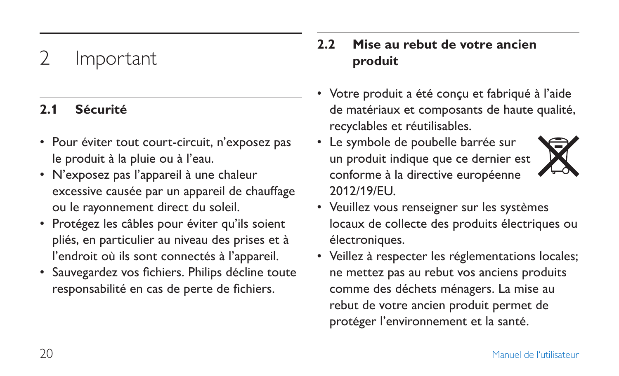# **Important**

### **2.1 Sécurité**

- Pour éviter tout court-circuit, n'exposez pas le produit à la pluie ou à l'eau.
- N'exposez pas l'appareil à une chaleur excessive causée par un appareil de chauffage ou le rayonnement direct du soleil.
- Protégez les câbles pour éviter qu'ils soient pliés, en particulier au niveau des prises et à l'endroit où ils sont connectés à l'appareil.
- Sauvegardez vos fichiers. Philips décline toute responsabilité en cas de perte de fichiers.

### **2.2 Mise au rebut de votre ancien produit**

- Votre produit a été conçu et fabriqué à l'aide de matériaux et composants de haute qualité, recyclables et réutilisables.
- Le symbole de poubelle barrée sur un produit indique que ce dernier est conforme à la directive européenne 2012/19/EU.



- Veuillez vous renseigner sur les systèmes locaux de collecte des produits électriques ou électroniques.
- Veillez à respecter les réglementations locales; ne mettez pas au rebut vos anciens produits comme des déchets ménagers. La mise au rebut de votre ancien produit permet de protéger l'environnement et la santé.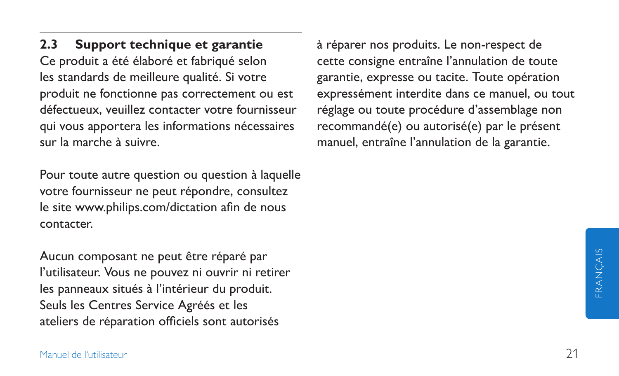**2.3 Support technique et garantie** Ce produit a été élaboré et fabriqué selon les standards de meilleure qualité. Si votre produit ne fonctionne pas correctement ou est défectueux, veuillez contacter votre fournisseur qui vous apportera les informations nécessaires sur la marche à suivre.

Pour toute autre question ou question à laquelle votre fournisseur ne peut répondre, consultez le site www.philips.com/dictation afin de nous contacter.

Aucun composant ne peut être réparé par l'utilisateur. Vous ne pouvez ni ouvrir ni retirer les panneaux situés à l'intérieur du produit. Seuls les Centres Service Agréés et les ateliers de réparation officiels sont autorisés

à réparer nos produits. Le non-respect de cette consigne entraîne l'annulation de toute garantie, expresse ou tacite. Toute opération expressément interdite dans ce manuel, ou tout réglage ou toute procédure d'assemblage non recommandé(e) ou autorisé(e) par le présent manuel, entraîne l'annulation de la garantie.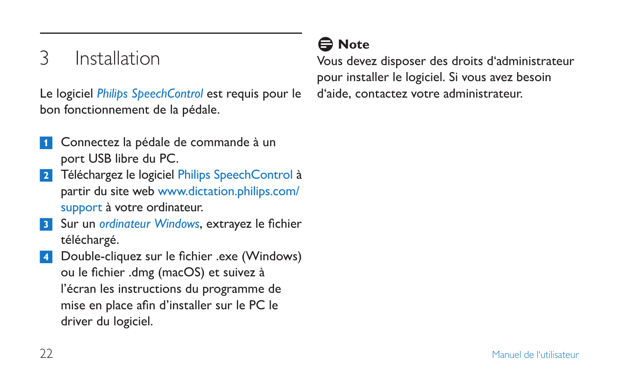# 3 Installation

Le logiciel *Philips SpeechControl* est requis pour le bon fonctionnement de la pédale.

- Connectez la pédale de commande à un port USB libre du PC.
- <sup>2</sup> Téléchargez le logiciel Philips SpeechControl à partir du site web www.dictation.philips.com/ support à votre ordinateur.
- 3 Sur un *ordinateur Windows*, extrayez le fichier téléchargé.
- 4 Double-cliquez sur le fichier .exe (Windows) ou le fichier .dmg (macOS) et suivez à l'écran les instructions du programme de mise en place afin d'installer sur le PC le driver du logiciel.

## D **Note**

Vous devez disposer des droits d'administrateur pour installer le logiciel. Si vous avez besoin d'aide, contactez votre administrateur.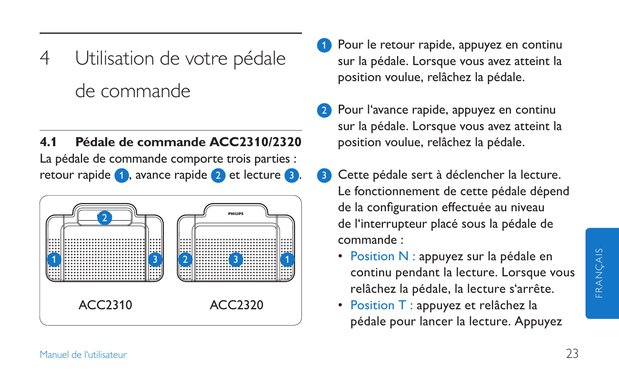- 4 Utilisation de votre pédale de commande
- **4.1 Pédale de commande ACC2310/2320** La pédale de commande comporte trois parties : retour rapide 1, avance rapide 2 et lecture 3.



- Pour le retour rapide, appuyez en continu sur la pédale. Lorsque vous avez atteint la position voulue, relâchez la pédale.
- Pour l'avance rapide, appuyez en continu sur la pédale. Lorsque vous avez atteint la position voulue, relâchez la pédale.
- Cette pédale sert à déclencher la lecture. Le fonctionnement de cette pédale dépend de la configuration effectuée au niveau de l'interrupteur placé sous la pédale de commande :
	- Position N : appuyez sur la pédale en continu pendant la lecture. Lorsque vous relâchez la pédale, la lecture s'arrête.
	- Position T : appuyez et relâchez la pédale pour lancer la lecture. Appuyez

FRANÇAIS

FRANÇAIS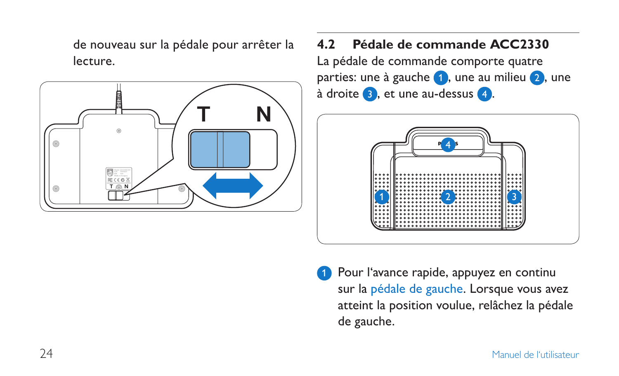de nouveau sur la pédale pour arrêter la lecture.



# **4.2 Pédale de commande ACC2330**

La pédale de commande comporte quatre parties: une à gauche  $\bullet$ , une au milieu  $\bullet$ , une à droite **3**, et une au-dessus 4.



Pour l'avance rapide, appuyez en continu sur la pédale de gauche. Lorsque vous avez atteint la position voulue, relâchez la pédale de gauche.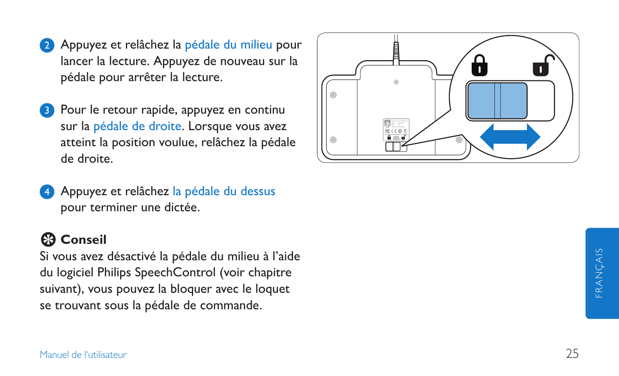- 2 Appuyez et relâchez la pédale du milieu pour lancer la lecture. Appuyez de nouveau sur la pédale pour arrêter la lecture.
- 3 Pour le retour rapide, appuyez en continu sur la pédale de droite. Lorsque vous avez atteint la position voulue, relâchez la pédale de droite.
- Appuyez et relâchez la pédale du dessus pour terminer une dictée.

### **E** Conseil

Si vous avez désactivé la pédale du milieu à l'aide du logiciel Philips SpeechControl (voir chapitre suivant), vous pouvez la bloquer avec le loquet se trouvant sous la pédale de commande.

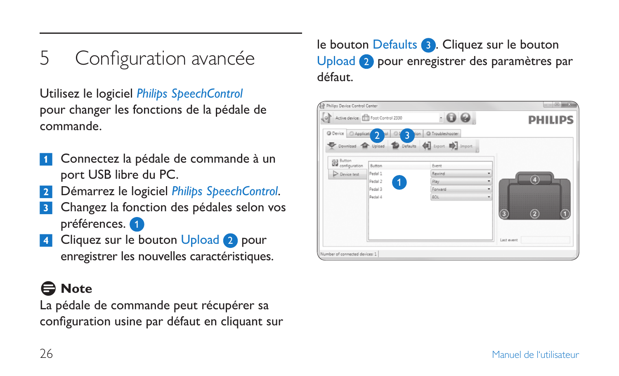5 Configuration avancée

Utilisez le logiciel *Philips SpeechControl* pour changer les fonctions de la pédale de commande.

- Connectez la pédale de commande à un port USB libre du PC.
- 2 Démarrez le logiciel *Philips SpeechControl*.
- <sup>3</sup> Changez la fonction des pédales selon vos préférences.
- 4 Cliquez sur le bouton Upload 2 pour enregistrer les nouvelles caractéristiques.

## **∈** Note

La pédale de commande peut récupérer sa configuration usine par défaut en cliquant sur

le bouton Defaults **3**. Cliquez sur le bouton Upload 2 pour enregistrer des paramètres par défaut.

|                                | O Active device: The Foot Control 2330 | $\cdot$ 0 0                                       | <b>PHILIPS</b>         |
|--------------------------------|----------------------------------------|---------------------------------------------------|------------------------|
|                                |                                        | O Device Applicating 2 of 3 Jon O Troubleshooter  |                        |
|                                |                                        | Download The Upload Defaults (1) Export En Import |                        |
| <b>Button</b><br>configuration |                                        |                                                   |                        |
|                                | Button                                 | Event                                             |                        |
| Device test                    | Pedal 1                                | Rewind                                            | ٠<br>$\mathbf{a}$      |
|                                | Padal 2<br>1                           | Play.                                             | ۰                      |
|                                | Pedal 3                                | Forward                                           | ۰                      |
|                                | Pedal 4                                | EOL                                               | ٠                      |
|                                |                                        |                                                   |                        |
|                                |                                        |                                                   | ۰<br>$\left( 2\right)$ |
|                                |                                        |                                                   |                        |
|                                |                                        |                                                   |                        |
|                                |                                        |                                                   | Last event             |
|                                |                                        |                                                   |                        |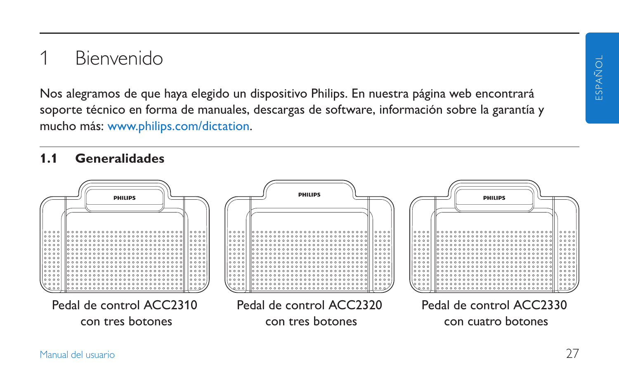## **Bienvenido**

Nos alegramos de que haya elegido un dispositivo Philips. En nuestra página web encontrará soporte técnico en forma de manuales, descargas de software, información sobre la garantía y mucho más: www.philips.com/dictation.

#### **1.1 Generalidades**

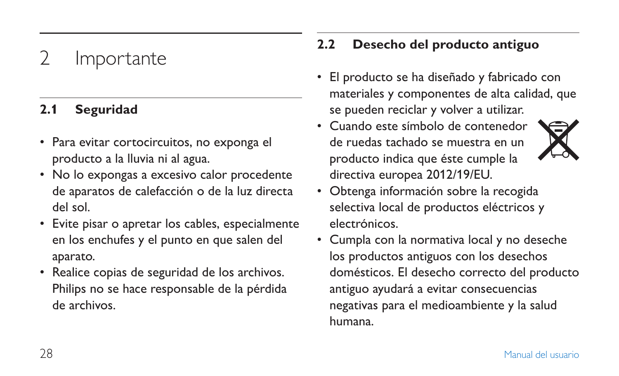# **Importante**

#### **2.1 Seguridad**

- Para evitar cortocircuitos, no exponga el producto a la lluvia ni al agua.
- No lo expongas a excesivo calor procedente de aparatos de calefacción o de la luz directa del sol.
- Evite pisar o apretar los cables, especialmente en los enchufes y el punto en que salen del aparato.
- Realice copias de seguridad de los archivos. Philips no se hace responsable de la pérdida de archivos.

### **2.2 Desecho del producto antiguo**

- El producto se ha diseñado y fabricado con materiales y componentes de alta calidad, que se pueden reciclar y volver a utilizar.
- Cuando este símbolo de contenedor de ruedas tachado se muestra en un producto indica que éste cumple la directiva europea 2012/19/EU.



- Obtenga información sobre la recogida selectiva local de productos eléctricos y electrónicos.
- Cumpla con la normativa local y no deseche los productos antiguos con los desechos domésticos. El desecho correcto del producto antiguo ayudará a evitar consecuencias negativas para el medioambiente y la salud humana.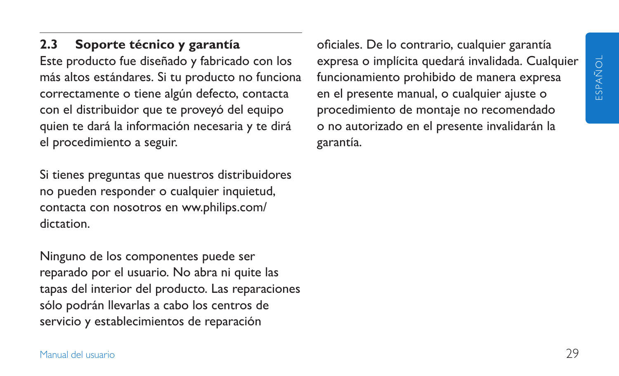**2.3 Soporte técnico y garantía** Este producto fue diseñado y fabricado con los más altos estándares. Si tu producto no funciona correctamente o tiene algún defecto, contacta con el distribuidor que te proveyó del equipo quien te dará la información necesaria y te dirá el procedimiento a seguir.

Si tienes preguntas que nuestros distribuidores no pueden responder o cualquier inquietud, contacta con nosotros en ww.philips.com/ dictation.

Ninguno de los componentes puede ser reparado por el usuario. No abra ni quite las tapas del interior del producto. Las reparaciones sólo podrán llevarlas a cabo los centros de servicio y establecimientos de reparación

oficiales. De lo contrario, cualquier garantía expresa o implícita quedará invalidada. Cualquier funcionamiento prohibido de manera expresa en el presente manual, o cualquier ajuste o procedimiento de montaje no recomendado o no autorizado en el presente invalidarán la garantía.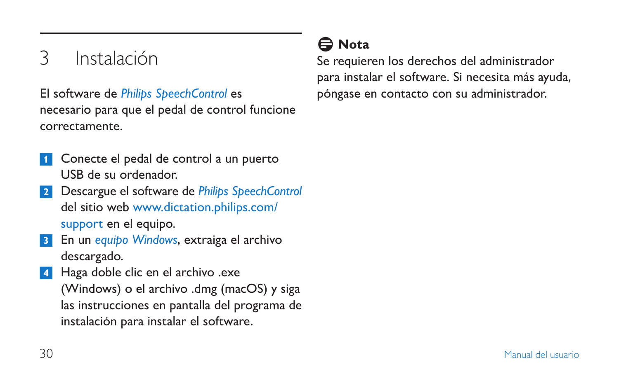# 3 Instalación

El software de *Philips SpeechControl* es necesario para que el pedal de control funcione correctamente.

- Conecte el pedal de control a un puerto USB de su ordenador.
- 2 Descargue el software de *Philips SpeechControl* del sitio web www.dictation.philips.com/ support en el equipo.
- 3 En un *equipo Windows*, extraiga el archivo descargado.

4 Haga doble clic en el archivo .exe (Windows) o el archivo .dmg (macOS) y siga las instrucciones en pantalla del programa de instalación para instalar el software.

### D **Nota**

Se requieren los derechos del administrador para instalar el software. Si necesita más ayuda, póngase en contacto con su administrador.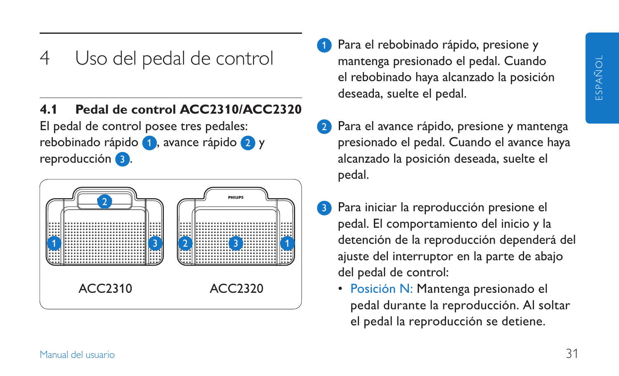## 4 Uso del pedal de control

#### **4.1 Pedal de control ACC2310/ACC2320**

El pedal de control posee tres pedales: rebobinado rápido 1, avance rápido 2 y reproducción 3.



- Para el rebobinado rápido, presione y mantenga presionado el pedal. Cuando el rebobinado haya alcanzado la posición deseada, suelte el pedal.
- Para el avance rápido, presione y mantenga presionado el pedal. Cuando el avance haya alcanzado la posición deseada, suelte el pedal.
- Para iniciar la reproducción presione el pedal. El comportamiento del inicio y la detención de la reproducción dependerá del ajuste del interruptor en la parte de abajo del pedal de control:
	- Posición N: Mantenga presionado el pedal durante la reproducción. Al soltar el pedal la reproducción se detiene.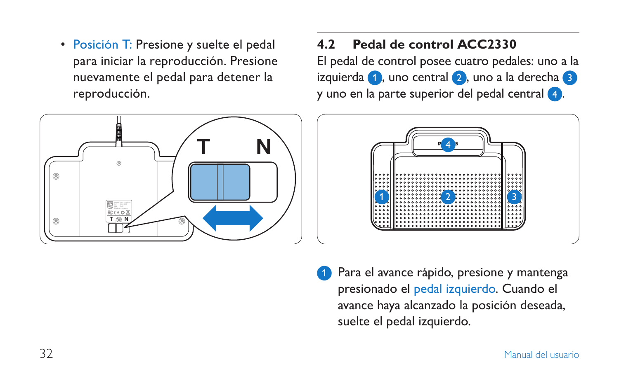• Posición T: Presione y suelte el pedal para iniciar la reproducción. Presione nuevamente el pedal para detener la reproducción.



#### **4.2 Pedal de control ACC2330**

El pedal de control posee cuatro pedales: uno a la izquierda  $\bigcap$ , uno central  $\bigcap$ , uno a la derecha  $\bigcap$ y uno en la parte superior del pedal central 4.



Para el avance rápido, presione y mantenga presionado el pedal izquierdo. Cuando el avance haya alcanzado la posición deseada, suelte el pedal izquierdo.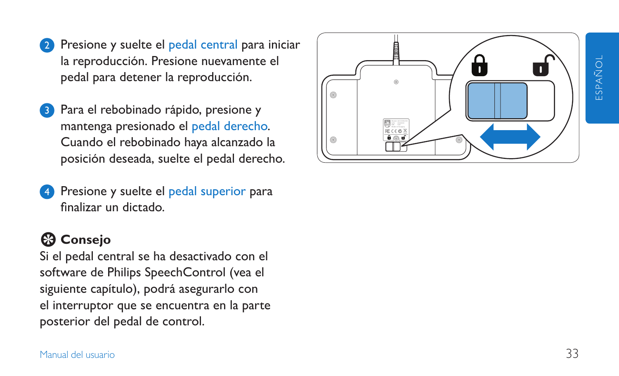- Presione y suelte el pedal central para iniciar la reproducción. Presione nuevamente el pedal para detener la reproducción.
- Para el rebobinado rápido, presione y mantenga presionado el pedal derecho. Cuando el rebobinado haya alcanzado la posición deseada, suelte el pedal derecho.
- Presione y suelte el pedal superior para finalizar un dictado.

### E **Consejo**

Si el pedal central se ha desactivado con el software de Philips SpeechControl (vea el siguiente capítulo), podrá asegurarlo con el interruptor que se encuentra en la parte posterior del pedal de control.

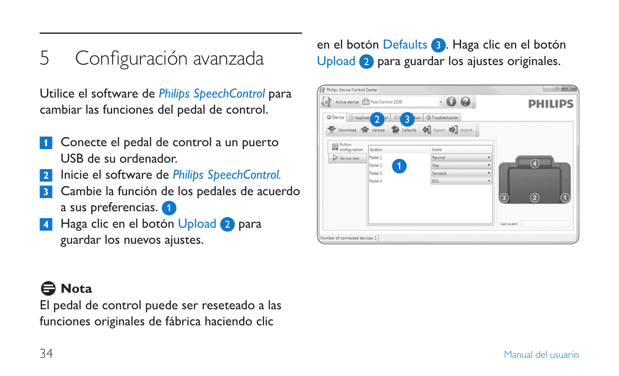5 Configuración avanzada

Utilice el software de *Philips SpeechControl* para cambiar las funciones del pedal de control.

- 1 Conecte el pedal de control a un puerto USB de su ordenador.
- 2 Inicie el software de *Philips SpeechControl.*
- **3** Cambie la función de los pedales de acuerdo a sus preferencias.
- Haga clic en el botón Upload 2 para guardar los nuevos ajustes.

### D **Nota**

El pedal de control puede ser reseteado a las funciones originales de fábrica haciendo clic

en el botón Defaults 3. Haga clic en el botón Upload 2 para guardar los ajustes originales.

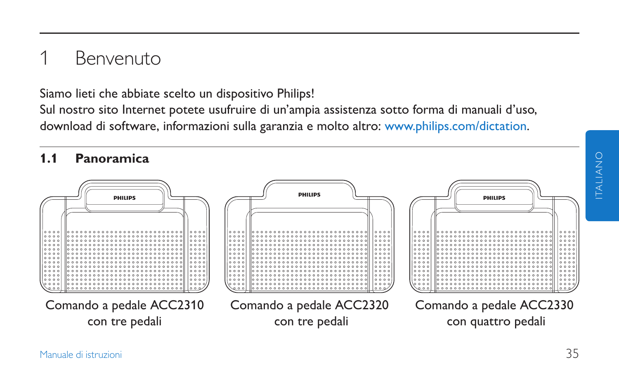## **Benvenuto**

Siamo lieti che abbiate scelto un dispositivo Philips!

Sul nostro sito Internet potete usufruire di un'ampia assistenza sotto forma di manuali d'uso, download di software, informazioni sulla garanzia e molto altro: www.philips.com/dictation.

#### **1.1 Panoramica**

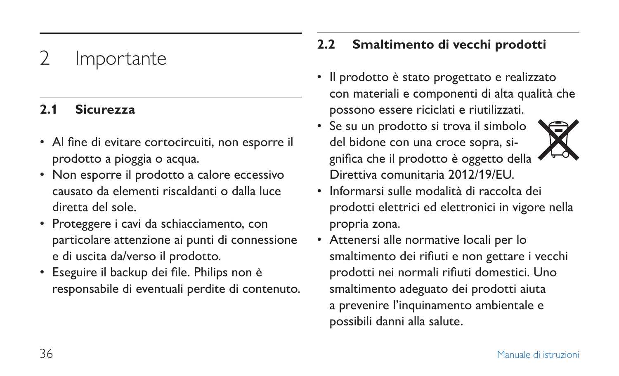# **Importante**

#### **2.1 Sicurezza**

- Al fine di evitare cortocircuiti, non esporre il prodotto a pioggia o acqua.
- Non esporre il prodotto a calore eccessivo causato da elementi riscaldanti o dalla luce diretta del sole.
- Proteggere i cavi da schiacciamento, con particolare attenzione ai punti di connessione e di uscita da/verso il prodotto.
- Eseguire il backup dei file. Philips non è responsabile di eventuali perdite di contenuto.

### **2.2 Smaltimento di vecchi prodotti**

- Il prodotto è stato progettato e realizzato con materiali e componenti di alta qualità che possono essere riciclati e riutilizzati.
- Se su un prodotto si trova il simbolo del bidone con una croce sopra, significa che il prodotto è oggetto della Direttiva comunitaria 2012/19/EU.
- Informarsi sulle modalità di raccolta dei prodotti elettrici ed elettronici in vigore nella propria zona.
- Attenersi alle normative locali per lo smaltimento dei rifiuti e non gettare i vecchi prodotti nei normali rifiuti domestici. Uno smaltimento adeguato dei prodotti aiuta a prevenire l'inquinamento ambientale e possibili danni alla salute.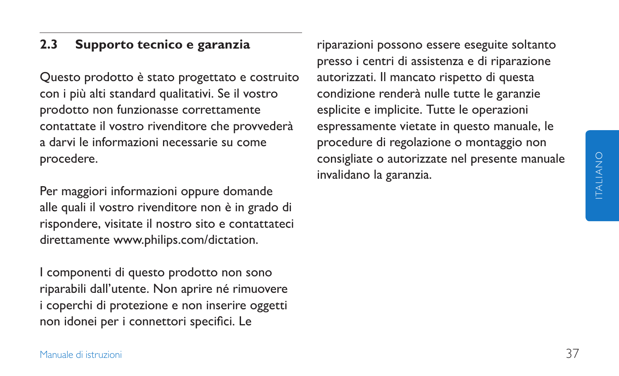#### **2.3 Supporto tecnico e garanzia**

Questo prodotto è stato progettato e costruito con i più alti standard qualitativi. Se il vostro prodotto non funzionasse correttamente contattate il vostro rivenditore che provvederà a darvi le informazioni necessarie su come procedere.

Per maggiori informazioni oppure domande alle quali il vostro rivenditore non è in grado di rispondere, visitate il nostro sito e contattateci direttamente www.philips.com/dictation.

I componenti di questo prodotto non sono riparabili dall'utente. Non aprire né rimuovere i coperchi di protezione e non inserire oggetti non idonei per i connettori specifici. Le

riparazioni possono essere eseguite soltanto presso i centri di assistenza e di riparazione autorizzati. Il mancato rispetto di questa condizione renderà nulle tutte le garanzie esplicite e implicite. Tutte le operazioni espressamente vietate in questo manuale, le procedure di regolazione o montaggio non consigliate o autorizzate nel presente manuale invalidano la garanzia.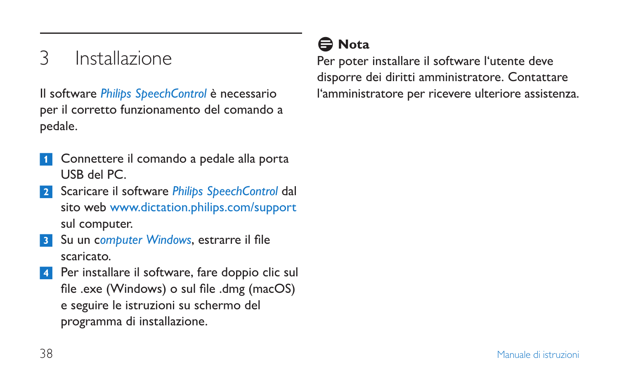# 3 Installazione

Il software *Philips SpeechControl* è necessario per il corretto funzionamento del comando a pedale.

- Connettere il comando a pedale alla porta USB del PC.
- 2 Scaricare il software *Philips SpeechControl* dal sito web www.dictation.philips.com/support sul computer.
- 3 Su un c*omputer Windows*, estrarre il file scaricato.
- Per installare il software, fare doppio clic sul file .exe (Windows) o sul file .dmg (macOS) e seguire le istruzioni su schermo del programma di installazione.

### D **Nota**

Per poter installare il software l'utente deve disporre dei diritti amministratore. Contattare l'amministratore per ricevere ulteriore assistenza.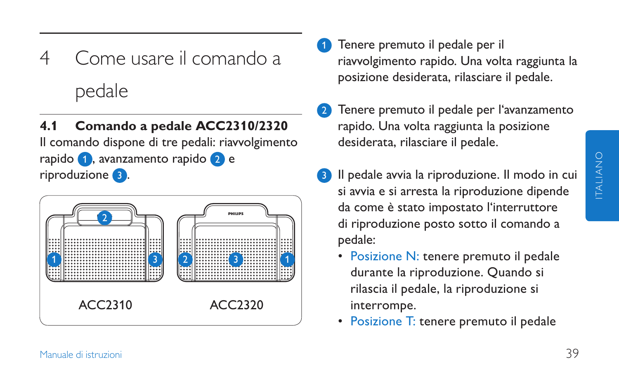- 4 Come usare il comando a pedale
- **4.1 Comando a pedale ACC2310/2320**

Il comando dispone di tre pedali: riavvolgimento rapido 1, avanzamento rapido 2 e riproduzione 3 .



- Tenere premuto il pedale per il riavvolgimento rapido. Una volta raggiunta la posizione desiderata, rilasciare il pedale.
- Tenere premuto il pedale per l'avanzamento rapido. Una volta raggiunta la posizione desiderata, rilasciare il pedale.
- Il pedale avvia la riproduzione. Il modo in cui si avvia e si arresta la riproduzione dipende da come è stato impostato l'interruttore di riproduzione posto sotto il comando a pedale:
	- Posizione N: tenere premuto il pedale durante la riproduzione. Quando si rilascia il pedale, la riproduzione si interrompe.
	- Posizione T: tenere premuto il pedale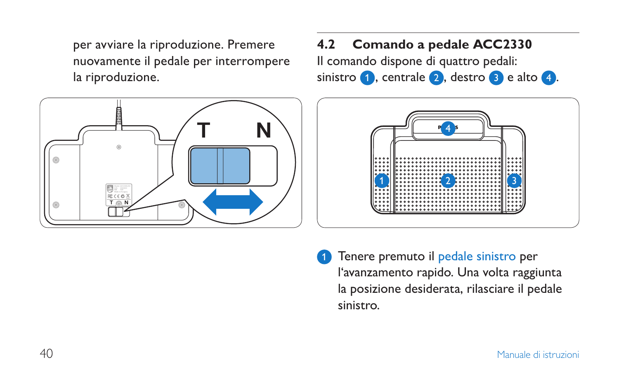per avviare la riproduzione. Premere nuovamente il pedale per interrompere la riproduzione.



#### **4.2 Comando a pedale ACC2330**

Il comando dispone di quattro pedali: sinistro  $\bullet$ , centrale  $\bullet$ , destro  $\bullet$  e alto  $\bullet$ .



Tenere premuto il pedale sinistro per l'avanzamento rapido. Una volta raggiunta la posizione desiderata, rilasciare il pedale sinistro.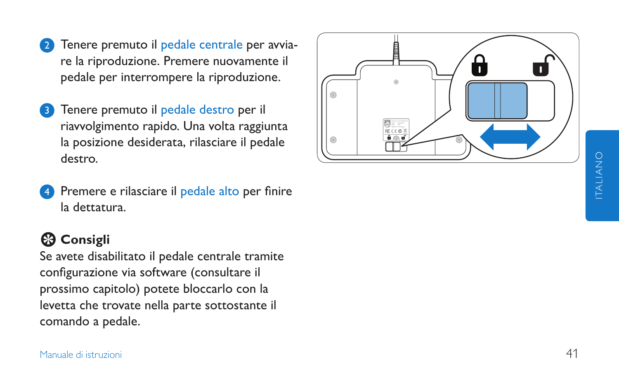- 2 Tenere premuto il pedale centrale per avviare la riproduzione. Premere nuovamente il pedale per interrompere la riproduzione.
- Tenere premuto il pedale destro per il riavvolgimento rapido. Una volta raggiunta la posizione desiderata, rilasciare il pedale destro.
- Premere e rilasciare il pedale alto per finire la dettatura.

### **E** Consigli

Se avete disabilitato il pedale centrale tramite configurazione via software (consultare il prossimo capitolo) potete bloccarlo con la levetta che trovate nella parte sottostante il comando a pedale.

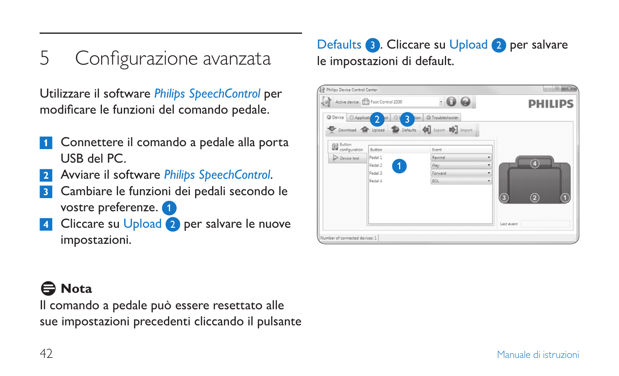5 Configurazione avanzata

Utilizzare il software *Philips SpeechControl* per modificare le funzioni del comando pedale.

- <sup>1</sup> Connettere il comando a pedale alla porta USB del PC.
- 2 Avviare il software *Philips SpeechControl*.
- <sup>3</sup> Cambiare le funzioni dei pedali secondo le vostre preferenze.
- Cliccare su Upload 2 per salvare le nuove impostazioni.

### Defaults **3**. Cliccare su Upload 2 per salvare le impostazioni di default.



## D **Nota**

Il comando a pedale può essere resettato alle sue impostazioni precedenti cliccando il pulsante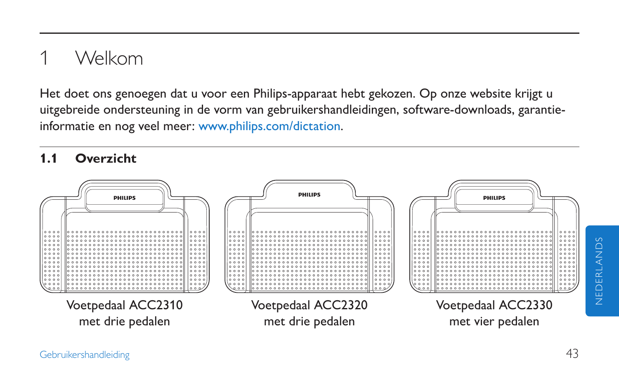# 1 Welkom

Het doet ons genoegen dat u voor een Philips-apparaat hebt gekozen. Op onze website krijgt u uitgebreide ondersteuning in de vorm van gebruikershandleidingen, software-downloads, garantieinformatie en nog veel meer: www.philips.com/dictation.

### **1.1 Overzicht**

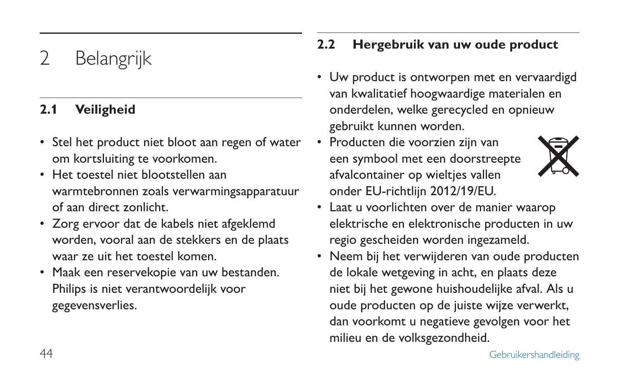# **Belangrijk**

#### **2.1 Veiligheid**

- Stel het product niet bloot aan regen of water om kortsluiting te voorkomen.
- Het toestel niet blootstellen aan warmtebronnen zoals verwarmingsapparatuur of aan direct zonlicht.
- Zorg ervoor dat de kabels niet afgeklemd worden, vooral aan de stekkers en de plaats waar ze uit het toestel komen.
- Maak een reservekopie van uw bestanden. Philips is niet verantwoordelijk voor gegevensverlies.

### **2.2 Hergebruik van uw oude product**

- Uw product is ontworpen met en vervaardigd van kwalitatief hoogwaardige materialen en onderdelen, welke gerecycled en opnieuw gebruikt kunnen worden.
- Producten die voorzien zijn van een symbool met een doorstreepte afvalcontainer op wielties vallen onder EU-richtlijn 2012/19/EU.



- Laat u voorlichten over de manier waarop elektrische en elektronische producten in uw regio gescheiden worden ingezameld.
- Neem bij het verwijderen van oude producten de lokale wetgeving in acht, en plaats deze niet bij het gewone huishoudelijke afval. Als u oude producten op de juiste wijze verwerkt, dan voorkomt u negatieve gevolgen voor het milieu en de volksgezondheid.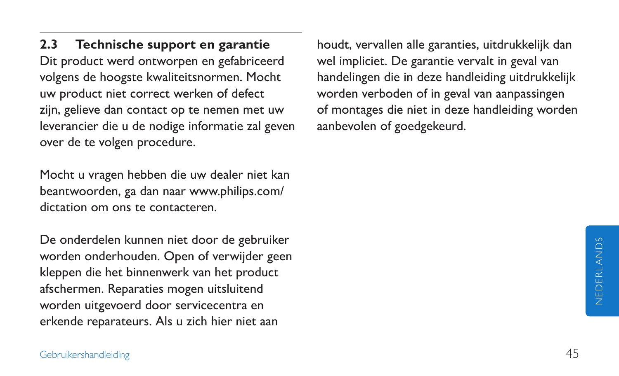**2.3 Technische support en garantie** Dit product werd ontworpen en gefabriceerd volgens de hoogste kwaliteitsnormen. Mocht uw product niet correct werken of defect zijn, gelieve dan contact op te nemen met uw leverancier die u de nodige informatie zal geven over de te volgen procedure.

Mocht u vragen hebben die uw dealer niet kan beantwoorden, ga dan naar www.philips.com/ dictation om ons te contacteren.

De onderdelen kunnen niet door de gebruiker worden onderhouden. Open of verwijder geen kleppen die het binnenwerk van het product afschermen. Reparaties mogen uitsluitend worden uitgevoerd door servicecentra en erkende reparateurs. Als u zich hier niet aan

houdt, vervallen alle garanties, uitdrukkelijk dan wel impliciet. De garantie vervalt in geval van handelingen die in deze handleiding uitdrukkelijk worden verboden of in geval van aanpassingen of montages die niet in deze handleiding worden aanbevolen of goedgekeurd.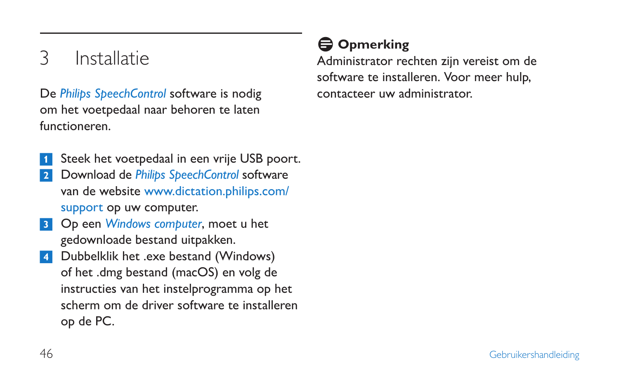# 3 Installatie

De *Philips SpeechControl* software is nodig om het voetpedaal naar behoren te laten functioneren.

- Steek het voetpedaal in een vrije USB poort.
- 2 Download de *Philips SpeechControl* software van de website www.dictation.philips.com/ support op uw computer.
- 3 Op een *Windows computer*, moet u het gedownloade bestand uitpakken.
- 4 Dubbelklik het .exe bestand (Windows) of het .dmg bestand (macOS) en volg de instructies van het instelprogramma op het scherm om de driver software te installeren op de PC.

## $\bigoplus$  **Opmerking**

Administrator rechten zijn vereist om de software te installeren. Voor meer hulp, contacteer uw administrator.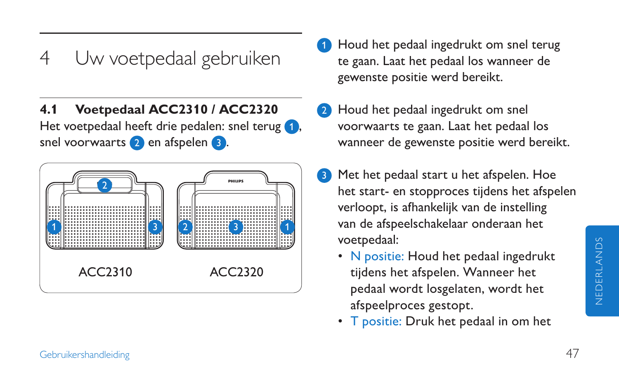# 4 Uw voetpedaal gebruiken

**4.1 Voetpedaal ACC2310 / ACC2320** Het voetpedaal heeft drie pedalen: snel terug snel voorwaarts 2 en afspelen 3.



- 1 Houd het pedaal ingedrukt om snel terug te gaan. Laat het pedaal los wanneer de gewenste positie werd bereikt.
- Houd het pedaal ingedrukt om snel voorwaarts te gaan. Laat het pedaal los wanneer de gewenste positie werd bereikt.
- <sup>3</sup> Met het pedaal start u het afspelen. Hoe het start- en stopproces tijdens het afspelen verloopt, is afhankelijk van de instelling van de afspeelschakelaar onderaan het voetpedaal:
	- N positie: Houd het pedaal ingedrukt tijdens het afspelen. Wanneer het pedaal wordt losgelaten, wordt het afspeelproces gestopt.
	- T positie: Druk het pedaal in om het

NEDERLANDS

**NEDERLANDS**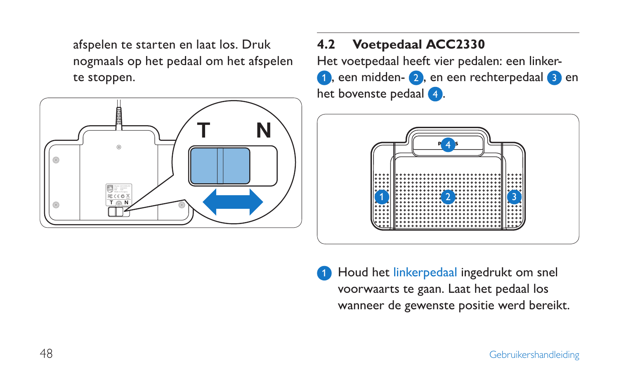afspelen te starten en laat los. Druk nogmaals op het pedaal om het afspelen te stoppen.



### **4.2 Voetpedaal ACC2330**

Het voetpedaal heeft vier pedalen: een linker-1, een midden- 2, en een rechterpedaal 3 en het bovenste pedaal 4.



Houd het linkerpedaal ingedrukt om snel voorwaarts te gaan. Laat het pedaal los wanneer de gewenste positie werd bereikt.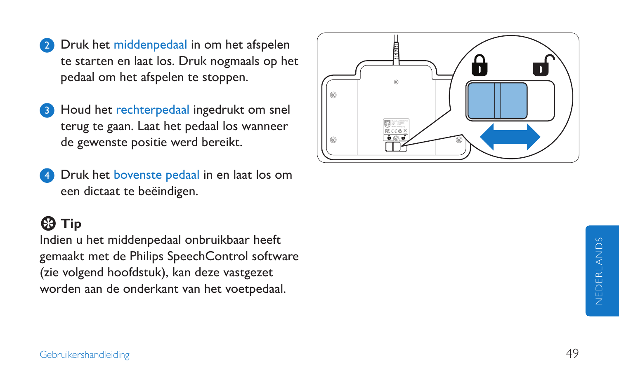- **2** Druk het middenpedaal in om het afspelen te starten en laat los. Druk nogmaals op het pedaal om het afspelen te stoppen.
- Houd het rechterpedaal ingedrukt om snel terug te gaan. Laat het pedaal los wanneer de gewenste positie werd bereikt.
- Druk het bovenste pedaal in en laat los om een dictaat te beëindigen.

## **E** Tip

Indien u het middenpedaal onbruikbaar heeft gemaakt met de Philips SpeechControl software (zie volgend hoofdstuk), kan deze vastgezet worden aan de onderkant van het voetpedaal.

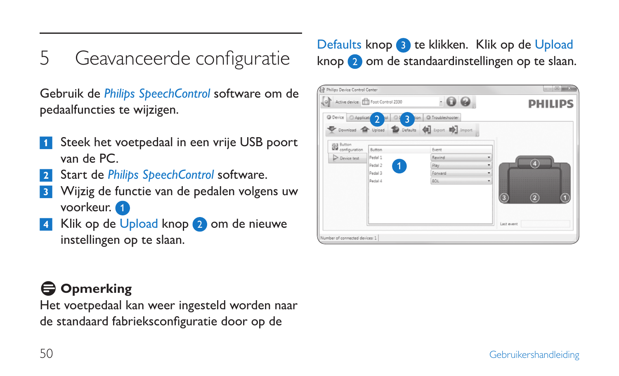5 Geavanceerde configuratie

Gebruik de *Philips SpeechControl* software om de pedaalfuncties te wijzigen.

- Steek het voetpedaal in een vrije USB poort van de PC.
- Start de *Philips SpeechControl* software.
- <sup>3</sup> Wijzig de functie van de pedalen volgens uw voorkeur.
- Klik op de Upload knop 2 om de nieuwe instellingen op te slaan.

## D **Opmerking**

Het voetpedaal kan weer ingesteld worden naar de standaard fabrieksconfiguratie door op de

### Defaults knop <sup>3</sup> te klikken. Klik op de Upload knop 2 om de standaardinstellingen op te slaan.

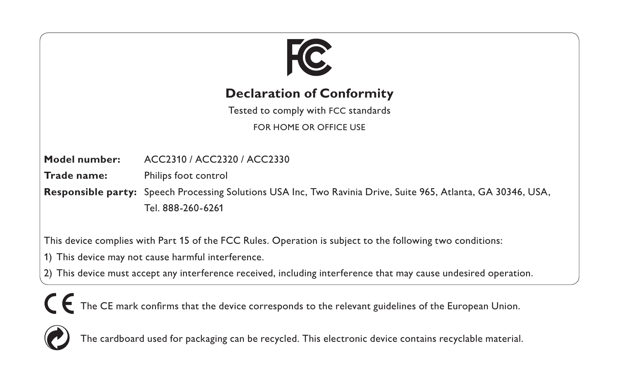

#### **Declaration of Conformity**

Tested to comply with FCC standards

FOR HOME OR OFFICE USE

**Model number:** ACC2310 / ACC2320 / ACC2330

**Trade name:** Philips foot control

**Responsible party:** Speech Processing Solutions USA Inc, Two Ravinia Drive, Suite 965, Atlanta, GA 30346, USA, Tel. 888-260-6261

This device complies with Part 15 of the FCC Rules. Operation is subject to the following two conditions:

- 1) This device may not cause harmful interference.
- 2) This device must accept any interference received, including interference that may cause undesired operation.

The CE mark confirms that the device corresponds to the relevant guidelines of the European Union.



The cardboard used for packaging can be recycled. This electronic device contains recyclable material.